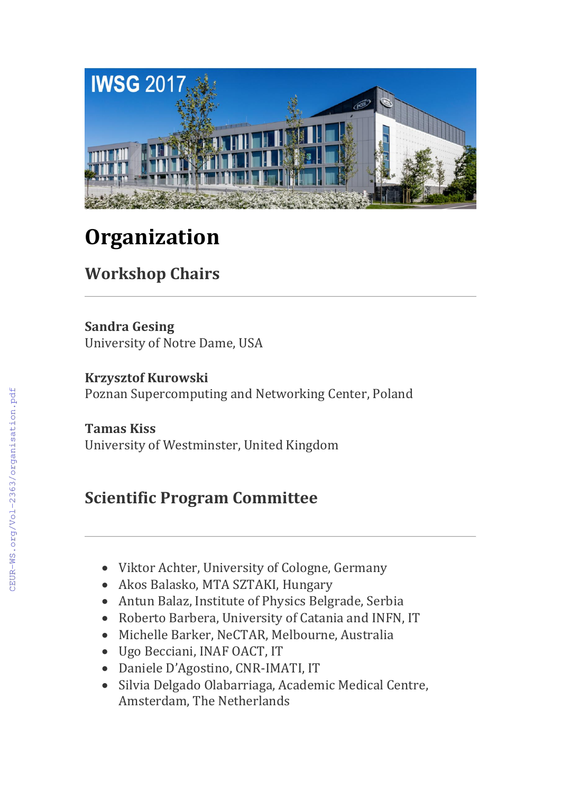

## **Organization**

## **Workshop Chairs**

**Sandra Gesing** University of Notre Dame, USA

**Krzysztof Kurowski** Poznan Supercomputing and Networking Center, Poland

**Tamas Kiss** University of Westminster, United Kingdom

## **Scientific Program Committee**

- Viktor Achter, University of Cologne, Germany
- Akos Balasko, MTA SZTAKI, Hungary
- Antun Balaz, Institute of Physics Belgrade, Serbia
- Roberto Barbera, University of Catania and INFN, IT
- Michelle Barker, NeCTAR, Melbourne, Australia
- Ugo Becciani, INAF OACT, IT
- Daniele D'Agostino, CNR-IMATI, IT
- Silvia Delgado Olabarriaga, Academic Medical Centre, Amsterdam, The Netherlands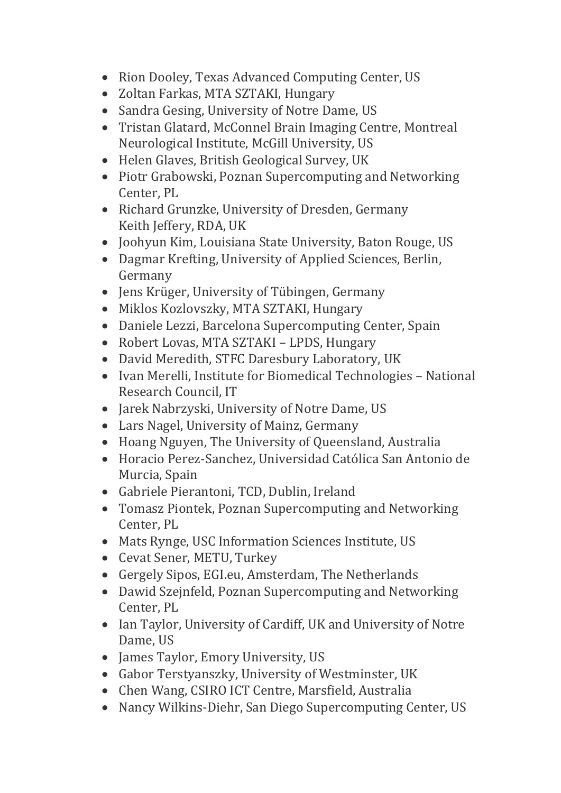- Rion Dooley, Texas Advanced Computing Center, US
- Zoltan Farkas, MTA SZTAKI, Hungary
- Sandra Gesing, University of Notre Dame, US
- Tristan Glatard, McConnel Brain Imaging Centre, Montreal Neurological Institute, McGill University, US
- Helen Glaves, British Geological Survey, UK
- Piotr Grabowski, Poznan Supercomputing and Networking Center, PL
- Richard Grunzke, University of Dresden, Germany Keith Jeffery, RDA, UK
- Joohyun Kim, Louisiana State University, Baton Rouge, US
- Dagmar Krefting, University of Applied Sciences, Berlin, Germany
- Jens Krüger, University of Tübingen, Germany
- Miklos Kozlovszky, MTA SZTAKI, Hungary
- Daniele Lezzi, Barcelona Supercomputing Center, Spain
- Robert Lovas, MTA SZTAKI LPDS, Hungary
- David Meredith, STFC Daresbury Laboratory, UK
- Ivan Merelli, Institute for Biomedical Technologies National Research Council, IT
- Jarek Nabrzyski, University of Notre Dame, US
- Lars Nagel, University of Mainz, Germany
- Hoang Nguyen, The University of Queensland, Australia
- Horacio Perez-Sanchez, Universidad Católica San Antonio de Murcia, Spain
- Gabriele Pierantoni, TCD, Dublin, Ireland
- Tomasz Piontek, Poznan Supercomputing and Networking Center, PL
- Mats Rynge, USC Information Sciences Institute, US
- Cevat Sener, METU, Turkey
- Gergely Sipos, EGI.eu, Amsterdam, The Netherlands
- Dawid Szejnfeld, Poznan Supercomputing and Networking Center, PL
- Ian Taylor, University of Cardiff, UK and University of Notre Dame, US
- James Taylor, Emory University, US
- Gabor Terstyanszky, University of Westminster, UK
- Chen Wang, CSIRO ICT Centre, Marsfield, Australia
- Nancy Wilkins-Diehr, San Diego Supercomputing Center, US